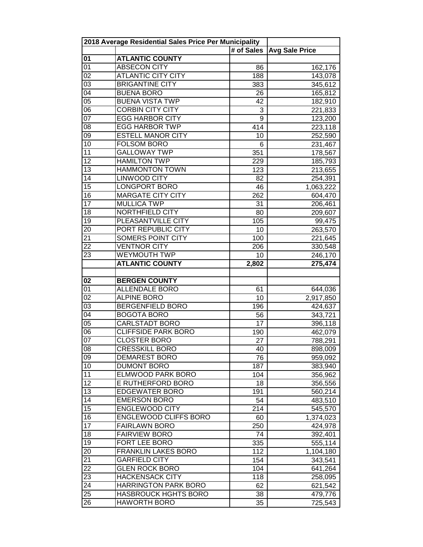|                 | 2018 Average Residential Sales Price Per Municipality |            |                       |  |
|-----------------|-------------------------------------------------------|------------|-----------------------|--|
|                 |                                                       | # of Sales | <b>Avg Sale Price</b> |  |
| 01              | <b>ATLANTIC COUNTY</b>                                |            |                       |  |
| 01              | <b>ABSECON CITY</b>                                   | 86         | 162,176               |  |
| $\overline{02}$ | <b>ATLANTIC CITY CITY</b>                             | 188        | 143,078               |  |
| $\overline{03}$ | <b>BRIGANTINE CITY</b>                                | 383        | 345,612               |  |
| $\overline{04}$ | <b>BUENA BORO</b>                                     | 26         | 165,812               |  |
| $\overline{05}$ | <b>BUENA VISTA TWP</b>                                | 42         | 182,910               |  |
| $\overline{06}$ | <b>CORBIN CITY CITY</b>                               | 3          | 221,833               |  |
| $\overline{07}$ | <b>EGG HARBOR CITY</b>                                | 9          | 123,200               |  |
| $\overline{08}$ | <b>EGG HARBOR TWP</b>                                 | 414        | 223,118               |  |
| $\overline{09}$ | <b>ESTELL MANOR CITY</b>                              | 10         | 252,590               |  |
| 10              | <b>FOLSOM BORO</b>                                    | 6          | 231,467               |  |
| $\overline{11}$ | <b>GALLOWAY TWP</b>                                   | 351        | 178,567               |  |
| $\overline{12}$ | <b>HAMILTON TWP</b>                                   | 229        | 185,793               |  |
| 13              | <b>HAMMONTON TOWN</b>                                 | 123        | 213,655               |  |
| 14              | <b>LINWOOD CITY</b>                                   | 82         | 254,391               |  |
| 15              | <b>LONGPORT BORO</b>                                  | 46         | 1,063,222             |  |
| 16              | <b>MARGATE CITY CITY</b>                              | 262        | 604,470               |  |
| 17              | <b>MULLICA TWP</b>                                    | 31         | 206,461               |  |
| 18              | NORTHFIELD CITY                                       | 80         | 209,607               |  |
| 19              | PLEASANTVILLE CITY                                    | 105        | 99,475                |  |
| $\overline{20}$ | PORT REPUBLIC CITY                                    | 10         | 263,570               |  |
| $\overline{21}$ | <b>SOMERS POINT CITY</b>                              | 100        | 221,645               |  |
| 22              | <b>VENTNOR CITY</b>                                   | 206        | 330,548               |  |
| 23              | <b>WEYMOUTH TWP</b>                                   | 10         | 246,170               |  |
|                 | <b>ATLANTIC COUNTY</b>                                | 2,802      | 275,474               |  |
|                 |                                                       |            |                       |  |
| 02              | <b>BERGEN COUNTY</b>                                  |            |                       |  |
| $\overline{01}$ | <b>ALLENDALE BORO</b>                                 | 61         | 644,036               |  |
| $\overline{02}$ | <b>ALPINE BORO</b>                                    | 10         | 2,917,850             |  |
| $\overline{03}$ | <b>BERGENFIELD BORO</b>                               | 196        | 424,637               |  |
| $\overline{04}$ | <b>BOGOTA BORO</b>                                    | 56         | 343,721               |  |
| $\overline{05}$ | <b>CARLSTADT BORO</b>                                 | 17         | 396,118               |  |
| $\overline{06}$ | <b>CLIFFSIDE PARK BORO</b>                            | 190        | 462,079               |  |
| $\overline{07}$ | <b>CLOSTER BORO</b>                                   | 27         | 788,291               |  |
| 08              | <b>CRESSKILL BORO</b>                                 | 40         | 898,009               |  |
| 09              | <b>DEMAREST BORO</b>                                  | 76         | 959,092               |  |
| 10              | <b>DUMONT BORO</b>                                    | 187        | 383,940               |  |
| 11              | ELMWOOD PARK BORO                                     | 104        | 356,962               |  |
| $\overline{12}$ | E RUTHERFORD BORO                                     | 18         | 356,556               |  |
| 13              | <b>EDGEWATER BORO</b>                                 | 191        | 560,214               |  |
| 14              | <b>EMERSON BORO</b>                                   | 54         | 483,510               |  |
| $\overline{15}$ | <b>ENGLEWOOD CITY</b>                                 | 214        | 545,570               |  |
| 16              | ENGLEWOOD CLIFFS BORO                                 | 60         | 1,374,023             |  |
| $\overline{17}$ | <b>FAIRLAWN BORO</b>                                  | 250        | 424,978               |  |
| 18              | <b>FAIRVIEW BORO</b>                                  | 74         | 392,401               |  |
| 19              | FORT LEE BORO                                         | 335        | 555,114               |  |
| 20              | <b>FRANKLIN LAKES BORO</b>                            | 112        | 1,104,180             |  |
| 21              | <b>GARFIELD CITY</b>                                  | 154        | 343,541               |  |
| 22              | <b>GLEN ROCK BORO</b>                                 | 104        | 641,264               |  |
| 23              | <b>HACKENSACK CITY</b>                                | 118        | 258,095               |  |
| 24              | <b>HARRINGTON PARK BORO</b>                           | 62         | 621,542               |  |
| 25              | <b>HASBROUCK HGHTS BORO</b>                           | 38         |                       |  |
|                 |                                                       |            | 479,776               |  |
| 26              | <b>HAWORTH BORO</b>                                   | 35         | 725,543               |  |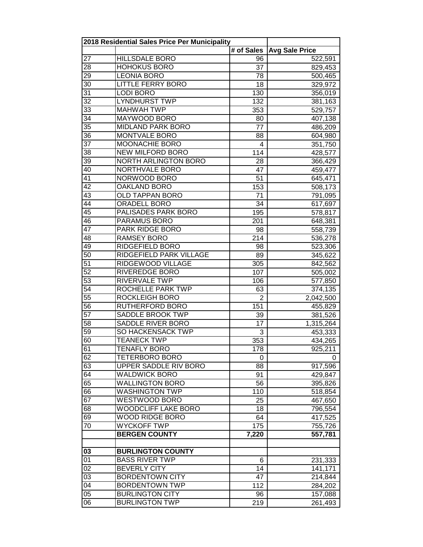|                 | 2018 Residential Sales Price Per Municipality |                 |                       |
|-----------------|-----------------------------------------------|-----------------|-----------------------|
|                 |                                               | # of Sales      | <b>Avg Sale Price</b> |
| 27              | <b>HILLSDALE BORO</b>                         | 96              | 522,591               |
| 28              | <b>HOHOKUS BORO</b>                           | 37              | 829,453               |
| 29              | <b>LEONIA BORO</b>                            | 78              | 500,465               |
| 30              | <b>LITTLE FERRY BORO</b>                      | 18              | 329,972               |
| $\overline{31}$ | <b>LODI BORO</b>                              | 130             | 356,019               |
| $\overline{32}$ | <b>LYNDHURST TWP</b>                          | 132             | 381,163               |
| $\overline{33}$ | <b>MAHWAH TWP</b>                             | 353             | 529,757               |
| $\overline{34}$ | MAYWOOD BORO                                  | 80              | 407,138               |
| $\overline{35}$ | <b>MIDLAND PARK BORO</b>                      | $\overline{77}$ | 486,209               |
| 36              | <b>MONTVALE BORO</b>                          | 88              | 604,980               |
| $\overline{37}$ | <b>MOONACHIE BORO</b>                         | 4               | 351,750               |
| 38              | <b>NEW MILFORD BORO</b>                       | 114             | 428,577               |
| 39              | NORTH ARLINGTON BORO                          | 28              | 366,429               |
| 40              | NORTHVALE BORO                                | 47              | 459,477               |
| 41              | NORWOOD BORO                                  | 51              | 645,471               |
| 42              | OAKLAND BORO                                  | 153             | 508,173               |
| 43              | <b>OLD TAPPAN BORO</b>                        | 71              |                       |
| 44              | <b>ORADELL BORO</b>                           | 34              | 791,095               |
| $\overline{45}$ | PALISADES PARK BORO                           |                 | 617,697               |
| 46              |                                               | 195             | 578,817               |
| $\overline{47}$ | PARAMUS BORO<br><b>PARK RIDGE BORO</b>        | 201             | 648,381               |
|                 |                                               | 98              | 558,739               |
| 48              | <b>RAMSEY BORO</b>                            | 214             | 536,278               |
| 49              | RIDGEFIELD BORO                               | 98              | 523,306               |
| $\overline{50}$ | RIDGEFIELD PARK VILLAGE                       | 89              | 345,622               |
| $\overline{51}$ | RIDGEWOOD VILLAGE                             | 305             | 842,562               |
| $\overline{52}$ | <b>RIVEREDGE BORO</b>                         | 107             | 505,002               |
| $\overline{53}$ | RIVERVALE TWP                                 | 106             | 577,850               |
| $\overline{54}$ | ROCHELLE PARK TWP                             | 63              | 374,135               |
| 55              | <b>ROCKLEIGH BORO</b>                         | $\overline{2}$  | 2,042,500             |
| 56              | <b>RUTHERFORD BORO</b>                        | 151             | 455,829               |
| $\overline{57}$ | SADDLE BROOK TWP                              | 39              | 381,526               |
| 58              | SADDLE RIVER BORO                             | 17              | 1,315,264             |
| $\overline{59}$ | <b>SO HACKENSACK TWP</b>                      | 3               | 453,333               |
| 60              | <b>TEANECK TWP</b>                            | 353             | 434,265               |
| 61              | TENAFLY BORO                                  | 178             | 925,211               |
| 62              | <b>TETERBORO BORO</b>                         | 0               | 0                     |
| 63              | UPPER SADDLE RIV BORO                         | 88              | 917,596               |
| 64              | <b>WALDWICK BORO</b>                          | 91              | 429,847               |
| 65              | <b>WALLINGTON BORO</b>                        | 56              | 395,826               |
| 66              | <b>WASHINGTON TWP</b>                         | 110             | 518,854               |
| 67              | WESTWOOD BORO                                 | 25              | 467,650               |
| 68              | WOODCLIFF LAKE BORO                           | 18              | 796,554               |
| 69              | <b>WOOD RIDGE BORO</b>                        | 64              | 417,525               |
| 70              | <b>WYCKOFF TWP</b>                            | 175             | 755,726               |
|                 | <b>BERGEN COUNTY</b>                          | 7,220           | 557,781               |
|                 |                                               |                 |                       |
| 03              | <b>BURLINGTON COUNTY</b>                      |                 |                       |
| 01              | <b>BASS RIVER TWP</b>                         | 6               | 231,333               |
| 02              | <b>BEVERLY CITY</b>                           | 14              | 141,171               |
| 03              | <b>BORDENTOWN CITY</b>                        | 47              | 214,844               |
| 04              | <b>BORDENTOWN TWP</b>                         | 112             | 284,202               |
| 05              | <b>BURLINGTON CITY</b>                        | 96              | 157,088               |
| 06              | <b>BURLINGTON TWP</b>                         | 219             | 261,493               |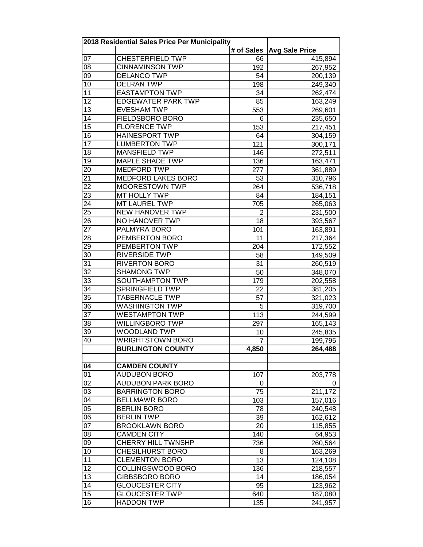|                 | 2018 Residential Sales Price Per Municipality |                  |                       |
|-----------------|-----------------------------------------------|------------------|-----------------------|
|                 |                                               | # of Sales       | <b>Avg Sale Price</b> |
| 07              | <b>CHESTERFIELD TWP</b>                       | 66               | 415,894               |
| 08              | <b>CINNAMINSON TWP</b>                        | 192              | 267,952               |
| 09              | <b>DELANCO TWP</b>                            | 54               | 200,139               |
| 10              | <b>DELRAN TWP</b>                             | 198              | 249,340               |
| 11              | <b>EASTAMPTON TWP</b>                         | 34               | 262,474               |
| $\overline{12}$ | <b>EDGEWATER PARK TWP</b>                     | 85               | 163,249               |
| 13              | <b>EVESHAM TWP</b>                            | 553              | 269,601               |
| $\overline{14}$ | FIELDSBORO BORO                               | 6                | 235,650               |
| $\overline{15}$ | <b>FLORENCE TWP</b>                           | 153              | 217,451               |
| 16              | <b>HAINESPORT TWP</b>                         | 64               | 304,159               |
| 17              | <b>LUMBERTON TWP</b>                          | 121              | 300,171               |
| 18              | <b>MANSFIELD TWP</b>                          | $\overline{146}$ | 272,511               |
| 19              | <b>MAPLE SHADE TWP</b>                        | 136              | 163,471               |
| 20              | <b>MEDFORD TWP</b>                            | 277              | 361,889               |
| 21              | <b>MEDFORD LAKES BORO</b>                     | 53               | 310,796               |
| 22              | <b>MOORESTOWN TWP</b>                         | 264              | 536,718               |
| 23              | MT HOLLY TWP                                  | 84               | 184,151               |
| 24              | <b>MT LAUREL TWP</b>                          | 705              | 265,063               |
| $\overline{25}$ | <b>NEW HANOVER TWP</b>                        | $\overline{2}$   | 231,500               |
| 26              | NO HANOVER TWP                                | 18               | 393,567               |
| 27              | PALMYRA BORO                                  | 101              | 163,891               |
| 28              | PEMBERTON BORO                                | 11               | 217,364               |
| 29              | PEMBERTON TWP                                 | 204              | 172,552               |
| 30              | <b>RIVERSIDE TWP</b>                          | 58               | 149,509               |
| 31              | <b>RIVERTON BORO</b>                          | 31               | 260,519               |
| $\overline{32}$ | <b>SHAMONG TWP</b>                            | 50               | 348,070               |
| $\overline{33}$ | <b>SOUTHAMPTON TWP</b>                        | 179              | 202,558               |
| 34              | <b>SPRINGFIELD TWP</b>                        | 22               | 381,205               |
| 35              | <b>TABERNACLE TWP</b>                         | 57               | 321,023               |
| 36              | <b>WASHINGTON TWP</b>                         | 5                | 319,700               |
| 37              | <b>WESTAMPTON TWP</b>                         | 113              | 244,599               |
| 38              | <b>WILLINGBORO TWP</b>                        | 297              | 165,143               |
| 39              | WOODLAND TWP                                  | 10               | 245,835               |
| 40              | WRIGHTSTOWN BORO                              | 7                | 199,795               |
|                 | <b>BURLINGTON COUNTY</b>                      | 4,850            | 264,488               |
|                 |                                               |                  |                       |
| 04              | <b>CAMDEN COUNTY</b>                          |                  |                       |
| 01              | <b>AUDUBON BORO</b>                           | 107              | 203,778               |
| 02              | <b>AUDUBON PARK BORO</b>                      | 0                | 0                     |
| 03              | <b>BARRINGTON BORO</b>                        | 75               | 211,172               |
| 04              | <b>BELLMAWR BORO</b>                          | 103              | 157,016               |
| $\overline{05}$ | <b>BERLIN BORO</b>                            | 78               | 240,548               |
| 06              | <b>BERLIN TWP</b>                             | 39               | 162,612               |
| 07              | <b>BROOKLAWN BORO</b>                         | 20               | 115,855               |
| 08              | <b>CAMDEN CITY</b>                            | 140              | 64,953                |
| 09              | <b>CHERRY HILL TWNSHP</b>                     | 736              | 260,564               |
| 10              | <b>CHESILHURST BORO</b>                       | 8                | 163,269               |
| 11              | <b>CLEMENTON BORO</b>                         | $\overline{13}$  | 124,108               |
| 12              | COLLINGSWOOD BORO                             | 136              | 218,557               |
| 13              | GIBBSBORO BORO                                | 14               | 186,054               |
| 14              | <b>GLOUCESTER CITY</b>                        | 95               | 123,962               |
| 15              | <b>GLOUCESTER TWP</b>                         | 640              | 187,080               |
| $\overline{16}$ | <b>HADDON TWP</b>                             | 135              | 241,957               |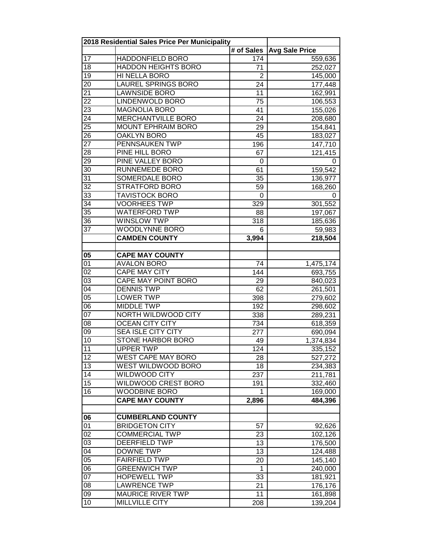|                 | 2018 Residential Sales Price Per Municipality |                |                       |
|-----------------|-----------------------------------------------|----------------|-----------------------|
|                 |                                               | # of Sales     | <b>Avg Sale Price</b> |
| 17              | <b>HADDONFIELD BORO</b>                       | 174            | 559,636               |
| 18              | <b>HADDON HEIGHTS BORO</b>                    | 71             | 252,027               |
| 19              | HI NELLA BORO                                 | $\overline{2}$ | 145,000               |
| 20              | <b>LAUREL SPRINGS BORO</b>                    | 24             | 177,448               |
| 21              | <b>LAWNSIDE BORO</b>                          | 11             | 162,991               |
| $\overline{22}$ | LINDENWOLD BORO                               | 75             | 106,553               |
| 23              | <b>MAGNOLIA BORO</b>                          | 41             | 155,026               |
| $\overline{24}$ | MERCHANTVILLE BORO                            | 24             | 208,680               |
| $\overline{25}$ | MOUNT EPHRAIM BORO                            | 29             | 154,841               |
| 26              | <b>OAKLYN BORO</b>                            | 45             | 183,027               |
| 27              | PENNSAUKEN TWP                                | 196            | 147,710               |
| 28              | PINE HILL BORO                                | 67             | 121,415               |
| $2\overline{9}$ | PINE VALLEY BORO                              | 0              | 0                     |
| 30              | RUNNEMEDE BORO                                | 61             | 159,542               |
| 31              | SOMERDALE BORO                                | 35             | 136,977               |
| 32              | <b>STRATFORD BORO</b>                         | 59             | 168,260               |
| 33              | <b>TAVISTOCK BORO</b>                         | 0              | 0                     |
| 34              | <b>VOORHEES TWP</b>                           | 329            | 301,552               |
| $\overline{35}$ | <b>WATERFORD TWP</b>                          | 88             | 197,067               |
| 36              | <b>WINSLOW TWP</b>                            | 318            | 185,636               |
| 37              | WOODLYNNE BORO                                | 6              | 59,983                |
|                 | <b>CAMDEN COUNTY</b>                          | 3,994          | 218,504               |
|                 |                                               |                |                       |
| 05              | <b>CAPE MAY COUNTY</b>                        |                |                       |
| 01              | <b>AVALON BORO</b>                            | 74             | 1,475,174             |
| $\overline{02}$ | <b>CAPE MAY CITY</b>                          | 144            | 693,755               |
| $\overline{03}$ | <b>CAPE MAY POINT BORO</b>                    | 29             | 840,023               |
| 04              | <b>DENNIS TWP</b>                             | 62             | 261,501               |
| 05              | <b>LOWER TWP</b>                              | 398            | 279,602               |
| $\overline{06}$ | <b>MIDDLE TWP</b>                             | 192            | 298,602               |
| $\overline{07}$ | NORTH WILDWOOD CITY                           | 338            | 289,231               |
| 08              | <b>OCEAN CITY CITY</b>                        | 734            | 618,359               |
| 09              | <b>SEA ISLE CITY CITY</b>                     | 277            | 690,094               |
| $\overline{10}$ | <b>STONE HARBOR BORO</b>                      | 49             | 1,374,834             |
| 11              | UPPER TWP                                     | 124            | 335,152               |
| 12              | <b>WEST CAPE MAY BORO</b>                     | 28             | 527,272               |
| 13              | <b>WEST WILDWOOD BORO</b>                     | 18             | 234,383               |
| 14              | WILDWOOD CITY                                 | 237            | 211,781               |
| 15              | WILDWOOD CREST BORO                           | 191            | 332,460               |
| 16              | <b>WOODBINE BORO</b>                          | 1              |                       |
|                 | <b>CAPE MAY COUNTY</b>                        |                | 169,000<br>484,396    |
|                 |                                               | 2,896          |                       |
| 06              | <b>CUMBERLAND COUNTY</b>                      |                |                       |
| 01              | <b>BRIDGETON CITY</b>                         | 57             |                       |
| $\overline{02}$ | <b>COMMERCIAL TWP</b>                         | 23             | 92,626                |
| 03              | <b>DEERFIELD TWP</b>                          | 13             | 102,126<br>176,500    |
| 04              | <b>DOWNE TWP</b>                              | 13             | 124,488               |
| 05              | <b>FAIRFIELD TWP</b>                          | 20             |                       |
| 06              |                                               |                | 145,140               |
|                 | <b>GREENWICH TWP</b>                          | 1              | 240,000               |
| 07              | <b>HOPEWELL TWP</b>                           | 33             | 181,921               |
| 08              | <b>LAWRENCE TWP</b>                           | 21             | 176,176               |
| 09              | <b>MAURICE RIVER TWP</b>                      | 11             | 161,898               |
| 10              | <b>MILLVILLE CITY</b>                         | 208            | 139,204               |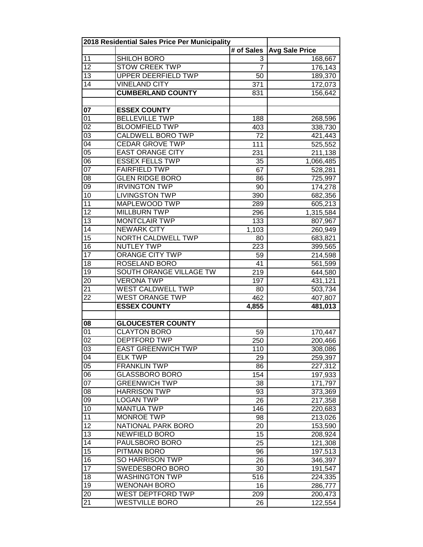|                 | 2018 Residential Sales Price Per Municipality |                              |                       |
|-----------------|-----------------------------------------------|------------------------------|-----------------------|
|                 |                                               | $\overline{\sharp}$ of Sales | <b>Avg Sale Price</b> |
| 11              | SHILOH BORO                                   | 3                            | 168,667               |
| 12              | <b>STOW CREEK TWP</b>                         | 7                            | 176,143               |
| 13              | <b>UPPER DEERFIELD TWP</b>                    | 50                           | 189,370               |
| 14              | <b>VINELAND CITY</b>                          | 371                          | 172,073               |
|                 | <b>CUMBERLAND COUNTY</b>                      | 831                          | 156,642               |
|                 |                                               |                              |                       |
| $\overline{07}$ | <b>ESSEX COUNTY</b>                           |                              |                       |
| 01              | <b>BELLEVILLE TWP</b>                         | 188                          | 268,596               |
| $\overline{02}$ | <b>BLOOMFIELD TWP</b>                         | 403                          | 338,730               |
| $\overline{03}$ | <b>CALDWELL BORO TWP</b>                      | 72                           | 421,443               |
| $\overline{04}$ | <b>CEDAR GROVE TWP</b>                        | 111                          | 525,552               |
| 05              | <b>EAST ORANGE CITY</b>                       | 231                          | 211,138               |
| 06              | <b>ESSEX FELLS TWP</b>                        | 35                           | 1,066,485             |
| $\overline{07}$ | <b>FAIRFIELD TWP</b>                          | 67                           | 528,281               |
| 08              | <b>GLEN RIDGE BORO</b>                        | 86                           | 725,997               |
| 09              | <b>IRVINGTON TWP</b>                          | 90                           | 174,278               |
| 10              | <b>LIVINGSTON TWP</b>                         | 390                          | 682,356               |
| 11              | MAPLEWOOD TWP                                 | 289                          | 605,213               |
| 12              | <b>MILLBURN TWP</b>                           | 296                          | 1,315,584             |
| 13              | <b>MONTCLAIR TWP</b>                          | 133                          | 807,967               |
| 14              | <b>NEWARK CITY</b>                            | 1,103                        | 260,949               |
| $\overline{15}$ | <b>NORTH CALDWELL TWP</b>                     | 80                           | 683,821               |
| 16              | <b>NUTLEY TWP</b>                             | 223                          | 399,565               |
| $\overline{17}$ | <b>ORANGE CITY TWP</b>                        | 59                           | 214,598               |
| 18              | <b>ROSELAND BORO</b>                          | 41                           | 561,599               |
| $\overline{19}$ | SOUTH ORANGE VILLAGE TW                       | 219                          | 644,580               |
| 20              | <b>VERONA TWP</b>                             | 197                          | 431,121               |
| 21              | <b>WEST CALDWELL TWP</b>                      | 80                           | 503,734               |
| $\overline{22}$ | <b>WEST ORANGE TWP</b>                        | 462                          | 407,807               |
|                 | <b>ESSEX COUNTY</b>                           | 4,855                        | 481,013               |
|                 |                                               |                              |                       |
| 08              | <b>GLOUCESTER COUNTY</b>                      |                              |                       |
| 01              | <b>CLAYTON BORO</b>                           | 59                           | 170,447               |
| $\overline{02}$ | <b>DEPTFORD TWP</b>                           | 250                          | 200,466               |
| 03              | EAST GREENWICH TWP                            | 110                          | 308,086               |
| 04              | <b>ELK TWP</b>                                | 29                           | 259,397               |
| $\overline{05}$ | <b>FRANKLIN TWP</b>                           | 86                           | 227,312               |
| 06              | GLASSBORO BORO                                | 154                          | 197,933               |
| 07              | <b>GREENWICH TWP</b>                          | 38                           | 171,797               |
| 08              | <b>HARRISON TWP</b>                           | 93                           | 373,369               |
| 09              | <b>LOGAN TWP</b>                              | 26                           | 217,358               |
| 10              | <b>MANTUA TWP</b>                             | 146                          | 220,683               |
| 11              | <b>MONROE TWP</b>                             | 98                           | 213,026               |
| 12              | NATIONAL PARK BORO                            | 20                           | 153,590               |
| 13              | <b>NEWFIELD BORO</b>                          | 15                           | 208,924               |
| 14              | PAULSBORO BORO                                | 25                           | 121,308               |
| 15              | PITMAN BORO                                   | 96                           | 197,513               |
| 16              | SO HARRISON TWP                               | 26                           | 346,397               |
| 17              | SWEDESBORO BORO                               | 30                           | 191,547               |
| 18              | <b>WASHINGTON TWP</b>                         | 516                          | 224,335               |
| 19              | <b>WENONAH BORO</b>                           | 16                           | 286,777               |
| 20              | WEST DEPTFORD TWP                             | 209                          | 200,473               |
| 21              | <b>WESTVILLE BORO</b>                         | 26                           | 122,554               |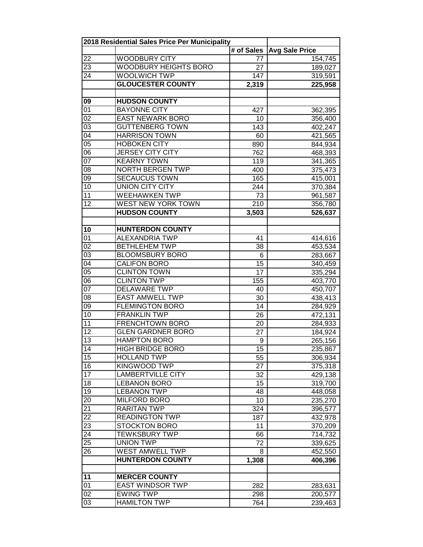|                                    | 2018 Residential Sales Price Per Municipality |                  |                       |
|------------------------------------|-----------------------------------------------|------------------|-----------------------|
|                                    |                                               | # of Sales       | <b>Avg Sale Price</b> |
| 22                                 | <b>WOODBURY CITY</b>                          | 77               | 154,745               |
| 23                                 | <b>WOODBURY HEIGHTS BORO</b>                  | 27               | 189,027               |
| 24                                 | <b>WOOLWICH TWP</b>                           | 147              | 319,591               |
|                                    | <b>GLOUCESTER COUNTY</b>                      | 2,319            | 225,958               |
|                                    |                                               |                  |                       |
| 09                                 | <b>HUDSON COUNTY</b>                          |                  |                       |
| $\overline{01}$                    | <b>BAYONNE CITY</b>                           | 427              | 362,395               |
| $\overline{02}$                    | <b>EAST NEWARK BORO</b>                       | 10               | 356,400               |
| $\overline{03}$                    | <b>GUTTENBERG TOWN</b>                        | $\overline{143}$ | 402,247               |
| $\overline{04}$                    | <b>HARRISON TOWN</b>                          | 60               | 421,565               |
| 05                                 | <b>HOBOKEN CITY</b>                           | 890              | 844,934               |
| $\overline{06}$                    | <b>JERSEY CITY CITY</b>                       | 762              | 468,393               |
| $\overline{07}$                    | <b>KEARNY TOWN</b>                            | 119              | 341,365               |
| 08                                 | NORTH BERGEN TWP                              | 400              | 375,473               |
| 09                                 | <b>SECAUCUS TOWN</b>                          | 165              | 415,001               |
| 10                                 | <b>UNION CITY CITY</b>                        | 244              | 370,384               |
| 11                                 | <b>WEEHAWKEN TWP</b>                          | 73               | 961,587               |
| 12                                 | WEST NEW YORK TOWN                            | 210              | 356,780               |
|                                    | <b>HUDSON COUNTY</b>                          | 3,503            | 526,637               |
|                                    |                                               |                  |                       |
| 10                                 | <b>HUNTERDON COUNTY</b>                       |                  |                       |
| 01                                 | <b>ALEXANDRIA TWP</b>                         | 41               | 414,616               |
| $\overline{02}$                    | <b>BETHLEHEM TWP</b>                          | 38               | 453,534               |
| $\overline{03}$                    | <b>BLOOMSBURY BORO</b>                        | 6                | 283,667               |
| $\overline{04}$                    | <b>CALIFON BORO</b>                           | 15               | 340,459               |
| 05                                 | <b>CLINTON TOWN</b>                           | 17               | 335,294               |
| $\overline{06}$                    | <b>CLINTON TWP</b>                            | 155              | 403,770               |
| $\overline{07}$                    | <b>DELAWARE TWP</b>                           | 40               | 450,707               |
| $\overline{08}$                    | <b>EAST AMWELL TWP</b>                        | 30               | 438,413               |
| $\overline{09}$                    | <b>FLEMINGTON BORO</b>                        | 14               | 284,929               |
| 10                                 | <b>FRANKLIN TWP</b>                           | 26               | 472,131               |
| 11                                 | <b>FRENCHTOWN BORO</b>                        | 20               | 284,933               |
| 12                                 | <b>GLEN GARDNER BORO</b>                      | 27               | 184,924               |
| $\overline{13}$                    | <b>HAMPTON BORO</b>                           | 9                |                       |
| 14                                 | <b>HIGH BRIDGE BORO</b>                       | 15               | 265,156<br>235,867    |
| 15                                 | <b>HOLLAND TWP</b>                            | 55               |                       |
| 16                                 | KINGWOOD TWP                                  | 27               | 306,934<br>375,318    |
| $\overline{17}$                    | <b>LAMBERTVILLE CITY</b>                      | 32               | 429,138               |
| 18                                 | <b>LEBANON BORO</b>                           | 15               |                       |
| $\overline{19}$                    | <b>LEBANON TWP</b>                            |                  | 319,700               |
| 20                                 | MILFORD BORO                                  | 48               | 448,058               |
| $\overline{21}$                    | <b>RARITAN TWP</b>                            | 10               | 235,270               |
| $\overline{22}$                    | <b>READINGTON TWP</b>                         | 324              | 396,577               |
|                                    | <b>STOCKTON BORO</b>                          | 187              | 432,978               |
| $\overline{23}$<br>$\overline{24}$ | <b>TEWKSBURY TWP</b>                          | 11               | 370,209               |
|                                    |                                               | 66               | 714,732               |
| 25                                 | <b>UNION TWP</b>                              | 72               | 339,625               |
| 26                                 | <b>WEST AMWELL TWP</b>                        | 8                | 452,550               |
|                                    | <b>HUNTERDON COUNTY</b>                       | 1,308            | 406,396               |
| 11                                 | <b>MERCER COUNTY</b>                          |                  |                       |
| 01                                 | <b>EAST WINDSOR TWP</b>                       | 282              | 283,631               |
| 02                                 | <b>EWING TWP</b>                              | 298              | 200,577               |
| $\overline{03}$                    | <b>HAMILTON TWP</b>                           | 764              | 239,463               |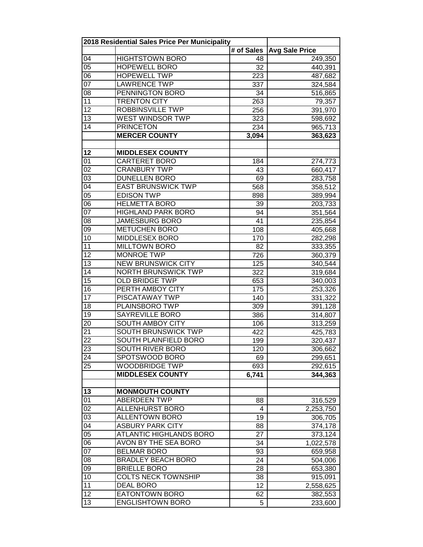|                       | 2018 Residential Sales Price Per Municipality    |            |                       |
|-----------------------|--------------------------------------------------|------------|-----------------------|
|                       |                                                  | # of Sales | <b>Avg Sale Price</b> |
| 04                    | <b>HIGHTSTOWN BORO</b>                           | 48         | 249,350               |
| 05                    | <b>HOPEWELL BORO</b>                             | 32         | 440,391               |
| 06                    | <b>HOPEWELL TWP</b>                              | 223        | 487,682               |
| 07                    | <b>LAWRENCE TWP</b>                              | 337        | 324,584               |
| 08                    | PENNINGTON BORO                                  | 34         | 516,865               |
| 11                    | <b>TRENTON CITY</b>                              | 263        | 79,357                |
| $\overline{12}$       | <b>ROBBINSVILLE TWP</b>                          | 256        | 391,970               |
| 13                    | <b>WEST WINDSOR TWP</b>                          | 323        | 598,692               |
| $\overline{14}$       | <b>PRINCETON</b>                                 | 234        | 965,713               |
|                       | <b>MERCER COUNTY</b>                             | 3,094      | 363,623               |
|                       |                                                  |            |                       |
| 12                    | <b>MIDDLESEX COUNTY</b>                          |            |                       |
| 01                    | <b>CARTERET BORO</b>                             | 184        | 274,773               |
| $\overline{02}$       | <b>CRANBURY TWP</b>                              | 43         | 660,417               |
| 03                    | <b>DUNELLEN BORO</b>                             | 69         | 283,758               |
| 04                    | <b>EAST BRUNSWICK TWP</b>                        | 568        | 358,512               |
| 05                    | <b>EDISON TWP</b>                                | 898        | 389,994               |
| 06                    | <b>HELMETTA BORO</b>                             | 39         | 203,733               |
| $\overline{07}$       | <b>HIGHLAND PARK BORO</b>                        | 94         | 351,564               |
| 08                    | <b>JAMESBURG BORO</b>                            | 41         | 235,854               |
| 09                    | <b>METUCHEN BORO</b>                             | 108        |                       |
| 10                    | MIDDLESEX BORO                                   | 170        | 405,668<br>282,298    |
| $\overline{11}$       | <b>MILLTOWN BORO</b>                             |            |                       |
| $\overline{12}$       | <b>MONROE TWP</b>                                | 82         | 333,355               |
| $\overline{13}$       | <b>NEW BRUNSWICK CITY</b>                        | 726        | 360,379               |
| $\overline{14}$       | <b>NORTH BRUNSWICK TWP</b>                       | 125        | 340,544               |
| $\overline{15}$       | <b>OLD BRIDGE TWP</b>                            | 322        | 319,684               |
| $\overline{16}$       | PERTH AMBOY CITY                                 | 653        | 340,003               |
| 17                    | PISCATAWAY TWP                                   | 175        | 253,326               |
| 18                    | PLAINSBORO TWP                                   | 140        | 331,322               |
| 19                    | <b>SAYREVILLE BORO</b>                           | 309        | 391,128               |
|                       | <b>SOUTH AMBOY CITY</b>                          | 386        | 314,807               |
| 20                    |                                                  | 106        | 313,259               |
| 21<br>$\overline{22}$ | <b>SOUTH BRUNSWICK TWP</b>                       | 422        | 425,783               |
|                       | SOUTH PLAINFIELD BORO                            | 199        | 320,437               |
| 23                    | SOUTH RIVER BORO                                 | 120        | 306,662               |
| 24                    | SPOTSWOOD BORO                                   | 69         | 299,651               |
| 25                    | <b>WOODBRIDGE TWP</b><br><b>MIDDLESEX COUNTY</b> | 693        | 292,615               |
|                       |                                                  | 6,741      | 344,363               |
|                       |                                                  |            |                       |
| 13<br>01              | <b>MONMOUTH COUNTY</b><br><b>ABERDEEN TWP</b>    |            |                       |
| $\overline{02}$       | <b>ALLENHURST BORO</b>                           | 88         | 316,529               |
|                       |                                                  | 4          | 2,253,750             |
| $\overline{03}$       | <b>ALLENTOWN BORO</b>                            | 19         | 306,705               |
| 04                    | <b>ASBURY PARK CITY</b>                          | 88         | 374,178               |
| $\overline{05}$       | <b>ATLANTIC HIGHLANDS BORO</b>                   | 27         | 373,124               |
| $\overline{06}$       | AVON BY THE SEA BORO                             | 34         | 1,022,578             |
| 07                    | <b>BELMAR BORO</b>                               | 93         | 659,958               |
| 80                    | <b>BRADLEY BEACH BORO</b>                        | 24         | 504,006               |
| 09                    | <b>BRIELLE BORO</b>                              | 28         | 653,380               |
| 10                    | COLTS NECK TOWNSHIP                              | 38         | 915,091               |
| 11                    | <b>DEAL BORO</b>                                 | 12         | 2,558,625             |
| 12                    | <b>EATONTOWN BORO</b>                            | 62         | 382,553               |
| 13                    | <b>ENGLISHTOWN BORO</b>                          | 5          | 233,600               |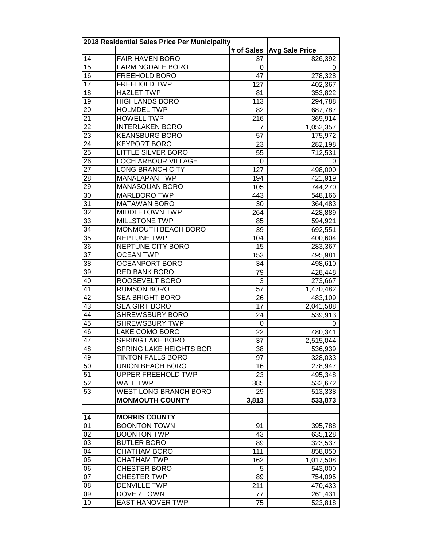|                 | 2018 Residential Sales Price Per Municipality |                 |                       |
|-----------------|-----------------------------------------------|-----------------|-----------------------|
|                 |                                               | # of Sales      | <b>Avg Sale Price</b> |
| 14              | <b>FAIR HAVEN BORO</b>                        | 37              | 826,392               |
| 15              | <b>FARMINGDALE BORO</b>                       | 0               | 0                     |
| 16              | <b>FREEHOLD BORO</b>                          | 47              | 278,328               |
| $\overline{17}$ | <b>FREEHOLD TWP</b>                           | 127             | 402,367               |
| 18              | <b>HAZLET TWP</b>                             | 81              | 353,822               |
| 19              | <b>HIGHLANDS BORO</b>                         | 113             | 294,788               |
| 20              | <b>HOLMDEL TWP</b>                            | 82              | 687,787               |
| 21              | <b>HOWELL TWP</b>                             | 216             | 369,914               |
| $\overline{22}$ | <b>INTERLAKEN BORO</b>                        | $\overline{7}$  | 1,052,357             |
| $\overline{23}$ | <b>KEANSBURG BORO</b>                         | $\overline{57}$ | 175,972               |
| 24              | <b>KEYPORT BORO</b>                           | 23              | 282,198               |
| $\overline{25}$ | <b>LITTLE SILVER BORO</b>                     | 55              | 712,531               |
| $2\overline{6}$ | LOCH ARBOUR VILLAGE                           | 0               | 0                     |
| 27              | <b>LONG BRANCH CITY</b>                       | 127             | 498,000               |
| 28              | <b>MANALAPAN TWP</b>                          | 194             | 421,919               |
| 29              | <b>MANASQUAN BORO</b>                         | 105             | 744,270               |
| 30              | <b>MARLBORO TWP</b>                           | 443             | 548,166               |
| 31              | <b>MATAWAN BORO</b>                           | 30              | 364,483               |
| $\overline{32}$ | <b>MIDDLETOWN TWP</b>                         | 264             | 428,889               |
| 33              | <b>MILLSTONE TWP</b>                          | 85              | 594,921               |
| 34              | <b>MONMOUTH BEACH BORO</b>                    | 39              | 692,551               |
| $\overline{35}$ | <b>NEPTUNE TWP</b>                            | 104             | 400,604               |
| 36              | NEPTUNE CITY BORO                             | 15              | 283,367               |
| $\overline{37}$ | <b>OCEAN TWP</b>                              | 153             | 495,981               |
| 38              | <b>OCEANPORT BORO</b>                         | 34              | 498,610               |
| $\overline{39}$ | <b>RED BANK BORO</b>                          | 79              | 428,448               |
| 40              | ROOSEVELT BORO                                | 3               | 273,667               |
| 41              | <b>RUMSON BORO</b>                            | 57              | 1,470,482             |
| $\overline{42}$ | <b>SEA BRIGHT BORO</b>                        | 26              | 483,109               |
| $\overline{43}$ | <b>SEA GIRT BORO</b>                          | 17              | 2,041,588             |
| $\overline{44}$ | <b>SHREWSBURY BORO</b>                        | 24              | 539,913               |
| 45              | <b>SHREWSBURY TWP</b>                         | 0               | 0                     |
| 46              | LAKE COMO BORO                                | 22              | 480,341               |
| $\overline{47}$ | <b>SPRING LAKE BORO</b>                       | 37              | 2,515,044             |
| 48              | SPRING LAKE HEIGHTS BOR                       | 38              | 536,939               |
| 49              | <b>TINTON FALLS BORO</b>                      | 97              | 328,033               |
| 50              | <b>UNION BEACH BORO</b>                       | 16              | 278,947               |
| 51              | UPPER FREEHOLD TWP                            | 23              | 495,348               |
| 52              | <b>WALL TWP</b>                               | 385             | 532,672               |
| 53              | <b>WEST LONG BRANCH BORO</b>                  | 29              | 513,338               |
|                 | <b>MONMOUTH COUNTY</b>                        | 3,813           | 533,873               |
|                 |                                               |                 |                       |
| 14              | <b>MORRIS COUNTY</b>                          |                 |                       |
| $\overline{01}$ | <b>BOONTON TOWN</b>                           | 91              | 395,788               |
| $\overline{02}$ | <b>BOONTON TWP</b>                            | 43              | 635,128               |
| 03              | <b>BUTLER BORO</b>                            | 89              | 323,537               |
| 04              | <b>CHATHAM BORO</b>                           | 111             | 858,050               |
| 05              | <b>CHATHAM TWP</b>                            | 162             | 1,017,508             |
| 06              | <b>CHESTER BORO</b>                           | 5               | 543,000               |
| 07              | <b>CHESTER TWP</b>                            | 89              | 754,095               |
| 08              | DENVILLE TWP                                  | 211             | 470,433               |
| $\overline{09}$ | DOVER TOWN                                    | 77              | 261,431               |
| 10              | <b>EAST HANOVER TWP</b>                       | 75              | 523,818               |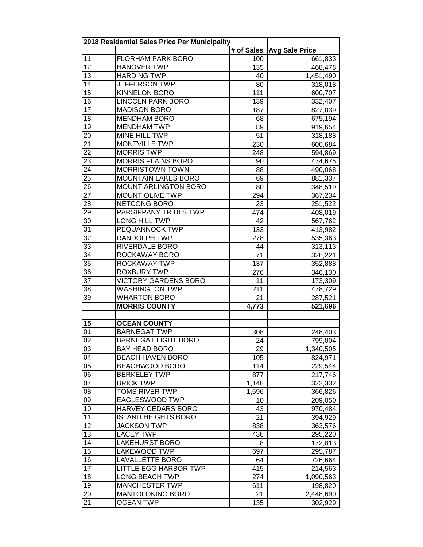|                 | 2018 Residential Sales Price Per Municipality |            |                       |
|-----------------|-----------------------------------------------|------------|-----------------------|
|                 |                                               | # of Sales | <b>Avg Sale Price</b> |
| 11              | <b>FLORHAM PARK BORO</b>                      | 100        | 661,833               |
| 12              | <b>HANOVER TWP</b>                            | 135        | 468,478               |
| 13              | <b>HARDING TWP</b>                            | 40         | 1,451,490             |
| 14              | <b>JEFFERSON TWP</b>                          | 80         | 318,018               |
| $\overline{15}$ | <b>KINNELON BORO</b>                          | 111        | 600,707               |
| $\overline{16}$ | <b>LINCOLN PARK BORO</b>                      | 139        | 332,407               |
| $\overline{17}$ | <b>MADISON BORO</b>                           | 187        | 827,039               |
| 18              | <b>MENDHAM BORO</b>                           | 68         | 675,194               |
| 19              | <b>MENDHAM TWP</b>                            | 89         | 919,654               |
| 20              | <b>MINE HILL TWP</b>                          | 51         | 318,188               |
| 21              | <b>MONTVILLE TWP</b>                          | 230        | 600,684               |
| 22              | <b>MORRIS TWP</b>                             | 248        | 594,869               |
| 23              | <b>MORRIS PLAINS BORO</b>                     | 90         | 474,675               |
| 24              | <b>MORRISTOWN TOWN</b>                        | 88         | 490,068               |
| 25              | <b>MOUNTAIN LAKES BORO</b>                    | 69         | 881,337               |
| 26              | <b>MOUNT ARLINGTON BORO</b>                   | 80         | 348,519               |
| 27              | MOUNT OLIVE TWP                               | 294        | 367,234               |
| 28              | NETCONG BORO                                  | 23         | 251,522               |
| 29              | PARSIPPANY TR HLS TWP                         | 474        | 408,019               |
| 30              | LONG HILL TWP                                 | 42         | 567,762               |
| 31              | PEQUANNOCK TWP                                | 133        |                       |
| $\overline{32}$ | <b>RANDOLPH TWP</b>                           | 278        | 413,982               |
| $\overline{33}$ | RIVERDALE BORO                                |            | 535,363               |
| 34              | ROCKAWAY BORO                                 | 44<br>71   | 313,113               |
| 35              | <b>ROCKAWAY TWP</b>                           |            | 326,221               |
| 36              | <b>ROXBURY TWP</b>                            | 137        | 352,888               |
| $\overline{37}$ | <b>VICTORY GARDENS BORO</b>                   | 276        | 346,130               |
|                 |                                               | 11         | 173,309               |
| 38              | <b>WASHINGTON TWP</b>                         | 211        | 478,729               |
| 39              | <b>WHARTON BORO</b>                           | 21         | 287,521               |
|                 | <b>MORRIS COUNTY</b>                          | 4,773      | 521,696               |
|                 |                                               |            |                       |
| 15              | <b>OCEAN COUNTY</b>                           |            |                       |
| 01              | <b>BARNEGAT TWP</b>                           | 308        | 248,403               |
| 02              | <b>BARNEGAT LIGHT BORO</b>                    | 24         | 799,004               |
| 03              | BAY HEAD BORO                                 | 29         | 1,340,505             |
| 04              | <b>BEACH HAVEN BORO</b>                       | 105        | 824,971               |
| 05              | BEACHWOOD BORO                                | 114        | 229,544               |
| 06              | <b>BERKELEY TWP</b>                           | 877        | 217,746               |
| 07              | <b>BRICK TWP</b>                              | 1,148      | 322,332               |
| 08              | <b>TOMS RIVER TWP</b>                         | 1,596      | 366,826               |
| 09              | <b>EAGLESWOOD TWP</b>                         | 10         | 209,050               |
| 10              | <b>HARVEY CEDARS BORO</b>                     | 43         | 970,484               |
| $\overline{11}$ | <b>ISLAND HEIGHTS BORO</b>                    | 21         | 394,929               |
| $\overline{12}$ | <b>JACKSON TWP</b>                            | 838        | 363,576               |
| 13              | <b>LACEY TWP</b>                              | 436        | 295,220               |
| 14              | <b>LAKEHURST BORO</b>                         | 8          | 172,813               |
| 15              | LAKEWOOD TWP                                  | 697        | 295,787               |
| 16              | <b>LAVALLETTE BORO</b>                        | 64         | 726,664               |
| 17              | <b>LITTLE EGG HARBOR TWP</b>                  | 415        | 214,563               |
| 18              | <b>LONG BEACH TWP</b>                         | 274        | 1,090,563             |
| 19              | <b>MANCHESTER TWP</b>                         | 611        | 198,820               |
| 20              | <b>MANTOLOKING BORO</b>                       | 21         | 2,448,690             |
| 21              | OCEAN TWP                                     | 135        | 302,929               |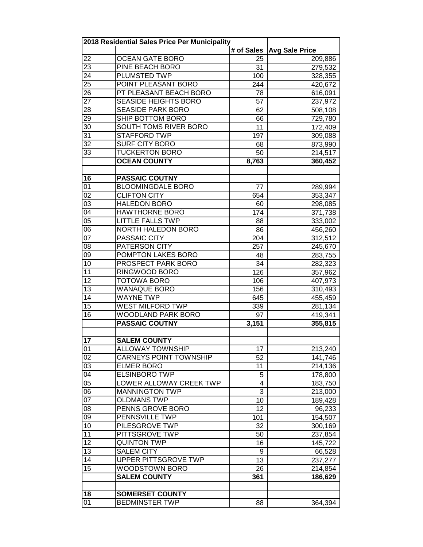|                 | 2018 Residential Sales Price Per Municipality |                 |                       |
|-----------------|-----------------------------------------------|-----------------|-----------------------|
|                 |                                               | # of Sales      | <b>Avg Sale Price</b> |
| 22              | <b>OCEAN GATE BORO</b>                        | 25              | 209,886               |
| 23              | PINE BEACH BORO                               | 31              | 279,532               |
| 24              | PLUMSTED TWP                                  | 100             | 328,355               |
| $\overline{25}$ | POINT PLEASANT BORO                           | 244             | 420,672               |
| 26              | PT PLEASANT BEACH BORO                        | 78              | 616,091               |
| $\overline{27}$ | SEASIDE HEIGHTS BORO                          | 57              | 237,972               |
| 28              | <b>SEASIDE PARK BORO</b>                      | 62              | 508,108               |
| 29              | SHIP BOTTOM BORO                              | 66              | 729,780               |
| 30              | <b>SOUTH TOMS RIVER BORO</b>                  | 11              | 172,409               |
| 31              | <b>STAFFORD TWP</b>                           | 197             | 309,088               |
| $\overline{32}$ | <b>SURF CITY BORO</b>                         | 68              | 873,990               |
| 33              | <b>TUCKERTON BORO</b>                         | 50              | 214,517               |
|                 | <b>OCEAN COUNTY</b>                           | 8,763           | 360,452               |
|                 |                                               |                 |                       |
| 16              | <b>PASSAIC COUTNY</b>                         |                 |                       |
| 01              | <b>BLOOMINGDALE BORO</b>                      | 77              | 289,994               |
| 02              | <b>CLIFTON CITY</b>                           | 654             | 353,347               |
| 03              | <b>HALEDON BORO</b>                           | 60              | 298,085               |
| 04              | <b>HAWTHORNE BORO</b>                         | 174             | 371,738               |
| 05              | <b>LITTLE FALLS TWP</b>                       | 88              | 333,002               |
| 06              | NORTH HALEDON BORO                            | 86              | 456,260               |
| 07              | PASSAIC CITY                                  | 204             | 312,512               |
| 08              | <b>PATERSON CITY</b>                          | 257             | 245,670               |
| 09              | POMPTON LAKES BORO                            | 48              | 283,755               |
| 10              | PROSPECT PARK BORO                            | 34              | 282,323               |
| $\overline{11}$ | <b>RINGWOOD BORO</b>                          | 126             | 357,962               |
| $\overline{12}$ | <b>TOTOWA BORO</b>                            | 106             | 407,973               |
| 13              | <b>WANAQUE BORO</b>                           | 156             | 310,493               |
| $\overline{14}$ | <b>WAYNE TWP</b>                              | 645             | 455,459               |
| $\overline{15}$ | <b>WEST MILFORD TWP</b>                       | 339             | 281,134               |
| 16              | <b>WOODLAND PARK BORO</b>                     | 97              | 419,341               |
|                 | <b>PASSAIC COUTNY</b>                         | 3,151           | 355,815               |
|                 |                                               |                 |                       |
| 17              | <b>SALEM COUNTY</b>                           |                 |                       |
| 01              | ALLOWAY TOWNSHIP                              | 17              | 213,240               |
| 02              | <b>CARNEYS POINT TOWNSHIP</b>                 | 52              | 141,746               |
| 03              | <b>ELMER BORO</b>                             | 11              | 214,136               |
| 04              | <b>ELSINBORO TWP</b>                          | 5               | 178,800               |
| 05              | LOWER ALLOWAY CREEK TWP                       | 4               | 183,750               |
| 06              | <b>MANNINGTON TWP</b>                         | 3               | 213,000               |
| 07              | <b>OLDMANS TWP</b>                            | 10              | 189,428               |
| $\overline{08}$ | PENNS GROVE BORO                              | 12              | 96,233                |
| 09              | PENNSVILLE TWP                                | 101             | 154,507               |
| 10              | PILESGROVE TWP                                | 32              | 300,169               |
| $\overline{11}$ | PITTSGROVE TWP                                | 50              | 237,854               |
| $\overline{12}$ | <b>QUINTON TWP</b>                            | 16              | 145,722               |
| 13              | <b>SALEM CITY</b>                             | 9               | 66,528                |
| 14              | UPPER PITTSGROVE TWP                          | $\overline{13}$ | 237,277               |
| 15              | WOODSTOWN BORO                                | 26              | 214,854               |
|                 | <b>SALEM COUNTY</b>                           | 361             | 186,629               |
|                 |                                               |                 |                       |
| 18              | <b>SOMERSET COUNTY</b>                        |                 |                       |
| 01              | <b>BEDMINSTER TWP</b>                         | 88              | 364,394               |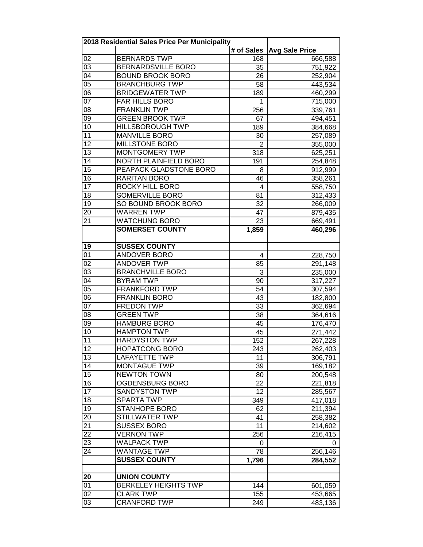|                 | 2018 Residential Sales Price Per Municipality |                |                       |
|-----------------|-----------------------------------------------|----------------|-----------------------|
|                 |                                               | # of Sales     | <b>Avg Sale Price</b> |
| 02              | <b>BERNARDS TWP</b>                           | 168            | 666,588               |
| 03              | BERNARDSVILLE BORO                            | 35             | 751,922               |
| 04              | <b>BOUND BROOK BORO</b>                       | 26             | 252,904               |
| $\overline{05}$ | <b>BRANCHBURG TWP</b>                         | 58             | 443,534               |
| $\overline{06}$ | <b>BRIDGEWATER TWP</b>                        | 189            | 460,299               |
| $\overline{07}$ | FAR HILLS BORO                                | 1              | 715,000               |
| 08              | <b>FRANKLIN TWP</b>                           | 256            | 339,761               |
| $\overline{09}$ | <b>GREEN BROOK TWP</b>                        | 67             | 494,451               |
| 10              | <b>HILLSBOROUGH TWP</b>                       | 189            | 384,668               |
| 11              | <b>MANVILLE BORO</b>                          | 30             | 257,089               |
| $\overline{12}$ | <b>MILLSTONE BORO</b>                         | $\overline{2}$ | 355,000               |
| $\overline{13}$ | <b>MONTGOMERY TWP</b>                         | 318            | 625,251               |
| 14              | NORTH PLAINFIELD BORO                         | 191            | 254,848               |
| 15              | PEAPACK GLADSTONE BORO                        | 8              | 912,999               |
| 16              | <b>RARITAN BORO</b>                           | 46             | 358,261               |
| 17              | ROCKY HILL BORO                               | $\overline{4}$ | 558,750               |
| 18              | <b>SOMERVILLE BORO</b>                        | 81             | 312,433               |
| 19              | SO BOUND BROOK BORO                           | 32             | 266,009               |
| 20              | <b>WARREN TWP</b>                             | 47             | 879,435               |
| 21              | <b>WATCHUNG BORO</b>                          | 23             | 669,491               |
|                 | <b>SOMERSET COUNTY</b>                        | 1,859          | 460,296               |
|                 |                                               |                |                       |
| 19              | <b>SUSSEX COUNTY</b>                          |                |                       |
| $\overline{01}$ | <b>ANDOVER BORO</b>                           | 4              | 228,750               |
| $\overline{02}$ | <b>ANDOVER TWP</b>                            | 85             | 291,148               |
| $\overline{03}$ | <b>BRANCHVILLE BORO</b>                       | 3              | 235,000               |
| $\overline{04}$ | <b>BYRAM TWP</b>                              | 90             | 317,227               |
| 05              | <b>FRANKFORD TWP</b>                          | 54             | 307,594               |
| $\overline{06}$ | <b>FRANKLIN BORO</b>                          | 43             | 182,800               |
| $\overline{07}$ | <b>FREDON TWP</b>                             | 33             | 362,694               |
| $\overline{08}$ | <b>GREEN TWP</b>                              | 38             | 364,616               |
| $\overline{09}$ | <b>HAMBURG BORO</b>                           | 45             | 176,470               |
| 10              | <b>HAMPTON TWP</b>                            | 45             | 271,442               |
| 11              | <b>HARDYSTON TWP</b>                          | 152            | 267,228               |
| 12              | <b>HOPATCONG BORO</b>                         | 243            |                       |
| 13              | <b>LAFAYETTE TWP</b>                          | 11             | 262,403<br>306,791    |
| 14              | <b>MONTAGUE TWP</b>                           | 39             | 169,182               |
| $\overline{15}$ | <b>NEWTON TOWN</b>                            | 80             | 200,548               |
| 16              | OGDENSBURG BORO                               | 22             | 221,818               |
| $\overline{17}$ | <b>SANDYSTON TWP</b>                          | 12             | 285,567               |
| 18              | <b>SPARTA TWP</b>                             | 349            |                       |
| 19              | <b>STANHOPE BORO</b>                          |                | 417,018               |
|                 |                                               | 62             | 211,394               |
| 20<br>21        | <b>STILLWATER TWP</b><br><b>SUSSEX BORO</b>   | 41             | 258,382               |
| $\overline{22}$ | <b>VERNON TWP</b>                             | 11<br>256      | 214,602               |
|                 |                                               |                | 216,415               |
| $\overline{23}$ | <b>WALPACK TWP</b>                            | 0<br>78        | 0                     |
| 24              | <b>WANTAGE TWP</b>                            |                | 256,146               |
|                 | <b>SUSSEX COUNTY</b>                          | 1,796          | 284,552               |
| 20              | <b>UNION COUNTY</b>                           |                |                       |
| 01              | <b>BERKELEY HEIGHTS TWP</b>                   | 144            | 601,059               |
| 02              | <b>CLARK TWP</b>                              | 155            | 453,665               |
| 03              | <b>CRANFORD TWP</b>                           | 249            | 483,136               |